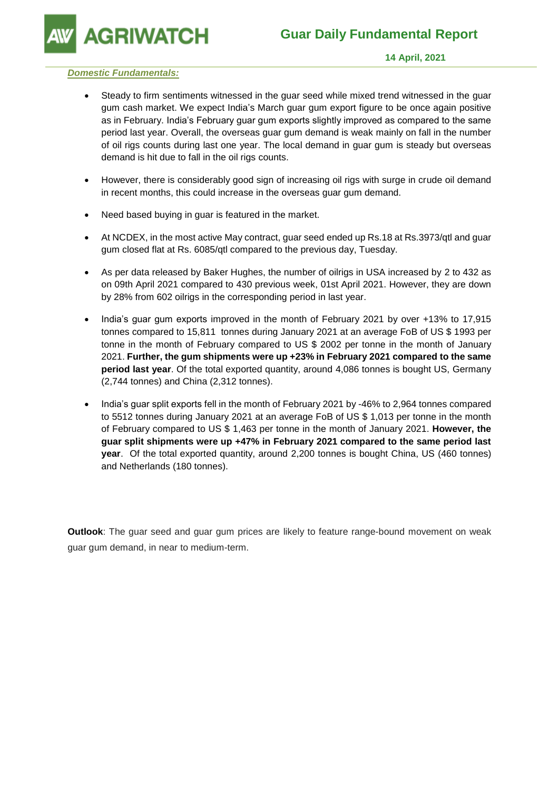**AGRIWATCH** 

## *Domestic Fundamentals:*

- Steady to firm sentiments witnessed in the guar seed while mixed trend witnessed in the guar gum cash market. We expect India's March guar gum export figure to be once again positive as in February. India's February guar gum exports slightly improved as compared to the same period last year. Overall, the overseas guar gum demand is weak mainly on fall in the number of oil rigs counts during last one year. The local demand in guar gum is steady but overseas demand is hit due to fall in the oil rigs counts.
- However, there is considerably good sign of increasing oil rigs with surge in crude oil demand in recent months, this could increase in the overseas guar gum demand.
- Need based buying in guar is featured in the market.
- At NCDEX, in the most active May contract, guar seed ended up Rs.18 at Rs.3973/qtl and guar gum closed flat at Rs. 6085/qtl compared to the previous day, Tuesday.
- As per data released by Baker Hughes, the number of oilrigs in USA increased by 2 to 432 as on 09th April 2021 compared to 430 previous week, 01st April 2021. However, they are down by 28% from 602 oilrigs in the corresponding period in last year.
- India's guar gum exports improved in the month of February 2021 by over +13% to 17,915 tonnes compared to 15,811 tonnes during January 2021 at an average FoB of US \$ 1993 per tonne in the month of February compared to US \$ 2002 per tonne in the month of January 2021. **Further, the gum shipments were up +23% in February 2021 compared to the same period last year**. Of the total exported quantity, around 4,086 tonnes is bought US, Germany (2,744 tonnes) and China (2,312 tonnes).
- India's guar split exports fell in the month of February 2021 by -46% to 2,964 tonnes compared to 5512 tonnes during January 2021 at an average FoB of US \$ 1,013 per tonne in the month of February compared to US \$ 1,463 per tonne in the month of January 2021. **However, the guar split shipments were up +47% in February 2021 compared to the same period last year**. Of the total exported quantity, around 2,200 tonnes is bought China, US (460 tonnes) and Netherlands (180 tonnes).

**Outlook**: The guar seed and guar gum prices are likely to feature range-bound movement on weak guar gum demand, in near to medium-term.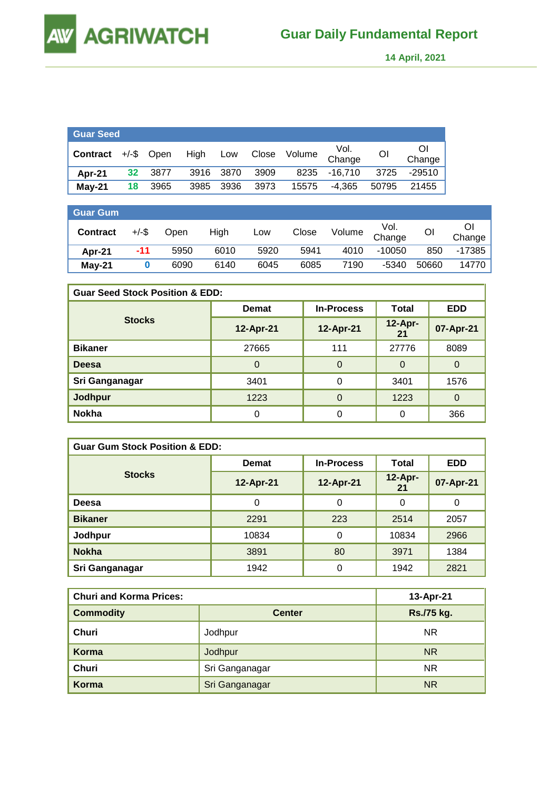**AGRIWATCH** 

 **14 April, 2021** 

| Guar Seed       |    |               |           |      |       |        |                |       |              |
|-----------------|----|---------------|-----------|------|-------|--------|----------------|-------|--------------|
| <b>Contract</b> |    | $+/-$ \$ Open | High      | Low  | Close | Volume | Vol.<br>Change | Ol    | Οl<br>Change |
| Apr-21          | 32 | 3877          | 3916 3870 |      | 3909  |        | 8235 -16,710   | 3725  | -29510       |
| $May-21$        | 18 | 3965          | 3985      | 3936 | 3973  | 15575  | $-4.365$       | 50795 | 21455        |

| <b>Guar Gum</b> |       |      |      |      |       |        |                |       |              |
|-----------------|-------|------|------|------|-------|--------|----------------|-------|--------------|
| <b>Contract</b> | +/-\$ | Open | High | Low  | Close | Volume | Vol.<br>Change | Οl    | Ől<br>Change |
| Apr-21          | -11   | 5950 | 6010 | 5920 | 5941  | 4010   | $-10050$       | 850   | -17385       |
| $May-21$        |       | 6090 | 6140 | 6045 | 6085  | 7190   | $-5340$        | 50660 | 14770        |

| <b>Guar Seed Stock Position &amp; EDD:</b> |              |                   |                 |            |  |  |  |
|--------------------------------------------|--------------|-------------------|-----------------|------------|--|--|--|
|                                            | <b>Demat</b> | <b>In-Process</b> | Total           | <b>EDD</b> |  |  |  |
| <b>Stocks</b>                              | 12-Apr-21    | 12-Apr-21         | $12-Apr-$<br>21 | 07-Apr-21  |  |  |  |
| <b>Bikaner</b>                             | 27665        | 111               | 27776           | 8089       |  |  |  |
| <b>Deesa</b>                               | 0            | 0                 | $\Omega$        | $\Omega$   |  |  |  |
| Sri Ganganagar                             | 3401         | 0                 | 3401            | 1576       |  |  |  |
| Jodhpur                                    | 1223         | $\Omega$          | 1223            | $\Omega$   |  |  |  |
| <b>Nokha</b>                               |              | 0                 | 0               | 366        |  |  |  |

| <b>Guar Gum Stock Position &amp; EDD:</b> |              |                   |                 |            |  |  |  |
|-------------------------------------------|--------------|-------------------|-----------------|------------|--|--|--|
|                                           | <b>Demat</b> | <b>In-Process</b> | Total           | <b>EDD</b> |  |  |  |
| <b>Stocks</b>                             | 12-Apr-21    | 12-Apr-21         | $12-Apr-$<br>21 | 07-Apr-21  |  |  |  |
| <b>Deesa</b>                              | 0            | 0                 | 0               | 0          |  |  |  |
| <b>Bikaner</b>                            | 2291         | 223               | 2514            | 2057       |  |  |  |
| Jodhpur                                   | 10834        | 0                 | 10834           | 2966       |  |  |  |
| <b>Nokha</b>                              | 3891         | 80                | 3971            | 1384       |  |  |  |
| Sri Ganganagar                            | 1942         | 0                 | 1942            | 2821       |  |  |  |

| <b>Churi and Korma Prices:</b> | 13-Apr-21      |            |
|--------------------------------|----------------|------------|
| <b>Commodity</b>               | <b>Center</b>  | Rs./75 kg. |
| Churi                          | Jodhpur        | <b>NR</b>  |
| Korma                          | Jodhpur        | <b>NR</b>  |
| Churi                          | Sri Ganganagar | <b>NR</b>  |
| Korma                          | Sri Ganganagar | <b>NR</b>  |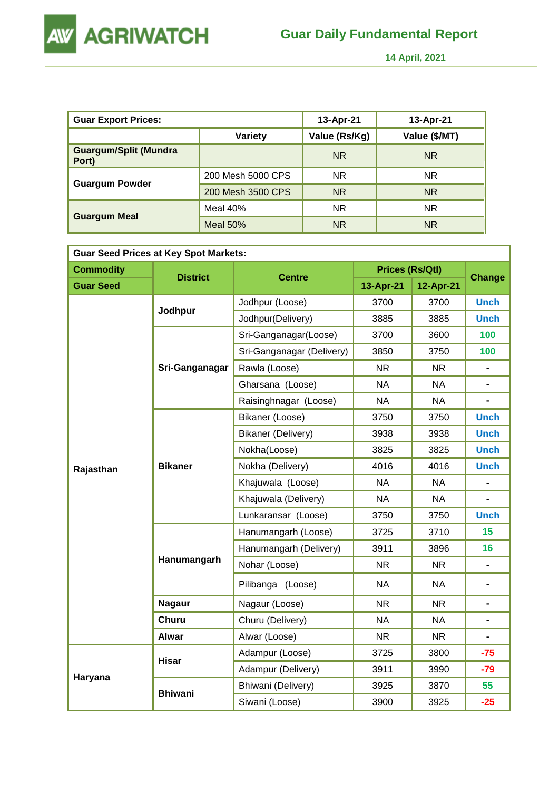

 **14 April, 2021** 

| <b>Guar Export Prices:</b>            |                   | 13-Apr-21     | 13-Apr-21     |
|---------------------------------------|-------------------|---------------|---------------|
|                                       | Variety           | Value (Rs/Kg) | Value (\$/MT) |
| <b>Guargum/Split (Mundra</b><br>Port) |                   | <b>NR</b>     | <b>NR</b>     |
|                                       | 200 Mesh 5000 CPS | <b>NR</b>     | <b>NR</b>     |
| <b>Guargum Powder</b>                 | 200 Mesh 3500 CPS | <b>NR</b>     | <b>NR</b>     |
|                                       | Meal $40%$        | <b>NR</b>     | <b>NR</b>     |
| <b>Guargum Meal</b>                   | Meal $50%$        | <b>NR</b>     | <b>NR</b>     |

| <b>Guar Seed Prices at Key Spot Markets:</b> |                 |                           |                        |                |                |  |  |  |
|----------------------------------------------|-----------------|---------------------------|------------------------|----------------|----------------|--|--|--|
| <b>Commodity</b>                             | <b>District</b> |                           | <b>Prices (Rs/Qtl)</b> |                |                |  |  |  |
| <b>Guar Seed</b>                             |                 | <b>Centre</b>             | 13-Apr-21              | 12-Apr-21      | <b>Change</b>  |  |  |  |
|                                              |                 | Jodhpur (Loose)           | 3700                   | 3700           | <b>Unch</b>    |  |  |  |
|                                              | Jodhpur         | Jodhpur(Delivery)         | 3885                   | 3885           | <b>Unch</b>    |  |  |  |
|                                              |                 | Sri-Ganganagar(Loose)     | 3700                   | 3600           | 100            |  |  |  |
|                                              |                 | Sri-Ganganagar (Delivery) | 3850                   | 3750           | 100            |  |  |  |
|                                              | Sri-Ganganagar  | Rawla (Loose)             | <b>NR</b>              | <b>NR</b>      |                |  |  |  |
|                                              |                 | Gharsana (Loose)          | <b>NA</b>              | <b>NA</b>      | $\blacksquare$ |  |  |  |
|                                              |                 | Raisinghnagar (Loose)     | <b>NA</b>              | <b>NA</b>      |                |  |  |  |
|                                              |                 | Bikaner (Loose)           | 3750                   | 3750           | <b>Unch</b>    |  |  |  |
|                                              | <b>Bikaner</b>  | Bikaner (Delivery)        | 3938                   | 3938           | <b>Unch</b>    |  |  |  |
|                                              |                 | Nokha(Loose)              | 3825                   | 3825           | <b>Unch</b>    |  |  |  |
| Rajasthan                                    |                 | Nokha (Delivery)          | 4016                   | 4016           | <b>Unch</b>    |  |  |  |
|                                              |                 | Khajuwala (Loose)         | <b>NA</b>              | <b>NA</b>      |                |  |  |  |
|                                              |                 | Khajuwala (Delivery)      | <b>NA</b>              | <b>NA</b>      |                |  |  |  |
|                                              |                 | Lunkaransar (Loose)       | 3750                   | 3750           | <b>Unch</b>    |  |  |  |
|                                              |                 | Hanumangarh (Loose)       | 3725                   | 3710           | 15             |  |  |  |
|                                              |                 | Hanumangarh (Delivery)    | 3911                   | 3896           | 16             |  |  |  |
|                                              | Hanumangarh     | Nohar (Loose)             | <b>NR</b>              | <b>NR</b>      | $\blacksquare$ |  |  |  |
|                                              |                 | Pilibanga (Loose)         | <b>NA</b>              | <b>NA</b>      | $\blacksquare$ |  |  |  |
|                                              | <b>Nagaur</b>   | Nagaur (Loose)            | <b>NR</b>              | N <sub>R</sub> | $\blacksquare$ |  |  |  |
|                                              | <b>Churu</b>    | Churu (Delivery)          | <b>NA</b>              | <b>NA</b>      | $\blacksquare$ |  |  |  |
|                                              | <b>Alwar</b>    | Alwar (Loose)             | <b>NR</b>              | <b>NR</b>      |                |  |  |  |
|                                              | <b>Hisar</b>    | Adampur (Loose)           | 3725                   | 3800           | $-75$          |  |  |  |
|                                              |                 | Adampur (Delivery)        | 3911                   | 3990           | $-79$          |  |  |  |
| Haryana                                      |                 | Bhiwani (Delivery)        | 3925                   | 3870           | 55             |  |  |  |
|                                              | <b>Bhiwani</b>  | Siwani (Loose)            | 3900                   | 3925           | $-25$          |  |  |  |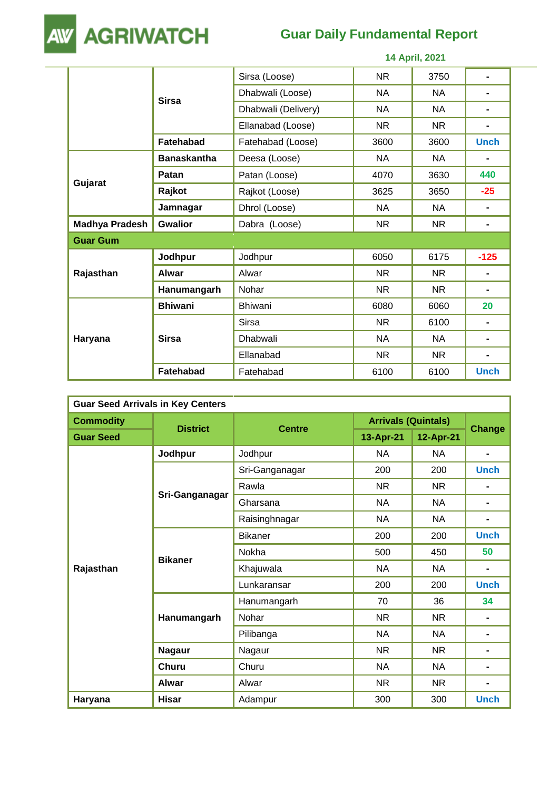

## **Guar Daily Fundamental Report**

|                       | 14 April, 2021     |                     |           |           |                |  |
|-----------------------|--------------------|---------------------|-----------|-----------|----------------|--|
|                       | <b>Sirsa</b>       | Sirsa (Loose)       | <b>NR</b> | 3750      | $\blacksquare$ |  |
|                       |                    | Dhabwali (Loose)    | <b>NA</b> | <b>NA</b> |                |  |
|                       |                    | Dhabwali (Delivery) | <b>NA</b> | <b>NA</b> |                |  |
|                       |                    | Ellanabad (Loose)   | NR.       | NR.       | ۰              |  |
|                       | <b>Fatehabad</b>   | Fatehabad (Loose)   | 3600      | 3600      | <b>Unch</b>    |  |
|                       | <b>Banaskantha</b> | Deesa (Loose)       | NA        | NA.       | ۰              |  |
|                       | Patan              | Patan (Loose)       | 4070      | 3630      | 440            |  |
| Gujarat               | Rajkot             | Rajkot (Loose)      | 3625      | 3650      | $-25$          |  |
|                       | Jamnagar           | Dhrol (Loose)       | <b>NA</b> | <b>NA</b> |                |  |
| <b>Madhya Pradesh</b> | <b>Gwalior</b>     | Dabra (Loose)       | <b>NR</b> | <b>NR</b> | $\blacksquare$ |  |
| <b>Guar Gum</b>       |                    |                     |           |           |                |  |
|                       | Jodhpur            | Jodhpur             | 6050      | 6175      | $-125$         |  |
| Rajasthan             | <b>Alwar</b>       | Alwar               | <b>NR</b> | <b>NR</b> | ۰              |  |
|                       | Hanumangarh        | Nohar               | <b>NR</b> | <b>NR</b> | $\blacksquare$ |  |
|                       | <b>Bhiwani</b>     | Bhiwani             | 6080      | 6060      | 20             |  |
|                       |                    | <b>Sirsa</b>        | <b>NR</b> | 6100      |                |  |
| Haryana               | <b>Sirsa</b>       | Dhabwali            | <b>NA</b> | <b>NA</b> | ۰              |  |
|                       |                    | Ellanabad           | <b>NR</b> | <b>NR</b> | $\blacksquare$ |  |
|                       | Fatehabad          | Fatehabad           | 6100      | 6100      | <b>Unch</b>    |  |

| <b>Guar Seed Arrivals in Key Centers</b> |                 |                |                            |           |                |  |  |
|------------------------------------------|-----------------|----------------|----------------------------|-----------|----------------|--|--|
| <b>Commodity</b>                         | <b>District</b> |                | <b>Arrivals (Quintals)</b> |           |                |  |  |
| <b>Guar Seed</b>                         |                 | <b>Centre</b>  | 13-Apr-21                  | 12-Apr-21 | <b>Change</b>  |  |  |
|                                          | Jodhpur         | Jodhpur        | <b>NA</b>                  | <b>NA</b> | ۰              |  |  |
|                                          |                 | Sri-Ganganagar | 200                        | 200       | <b>Unch</b>    |  |  |
|                                          |                 | Rawla          | <b>NR</b>                  | <b>NR</b> |                |  |  |
|                                          | Sri-Ganganagar  | Gharsana       | <b>NA</b>                  | <b>NA</b> | ۰              |  |  |
|                                          |                 | Raisinghnagar  | <b>NA</b>                  | NA        | ۰.             |  |  |
|                                          | <b>Bikaner</b>  | <b>Bikaner</b> | 200                        | 200       | <b>Unch</b>    |  |  |
|                                          |                 | Nokha          | 500                        | 450       | 50             |  |  |
| Rajasthan                                |                 | Khajuwala      | <b>NA</b>                  | <b>NA</b> | $\blacksquare$ |  |  |
|                                          |                 | Lunkaransar    | 200                        | 200       | <b>Unch</b>    |  |  |
|                                          |                 | Hanumangarh    | 70                         | 36        | 34             |  |  |
|                                          | Hanumangarh     | Nohar          | <b>NR</b>                  | <b>NR</b> |                |  |  |
|                                          |                 | Pilibanga      | <b>NA</b>                  | <b>NA</b> |                |  |  |
|                                          | <b>Nagaur</b>   | Nagaur         | <b>NR</b>                  | <b>NR</b> |                |  |  |
|                                          | <b>Churu</b>    | Churu          | <b>NA</b>                  | <b>NA</b> | ۰              |  |  |
|                                          | <b>Alwar</b>    | Alwar          | <b>NR</b>                  | <b>NR</b> | $\blacksquare$ |  |  |
| Haryana                                  | <b>Hisar</b>    | Adampur        | 300                        | 300       | <b>Unch</b>    |  |  |